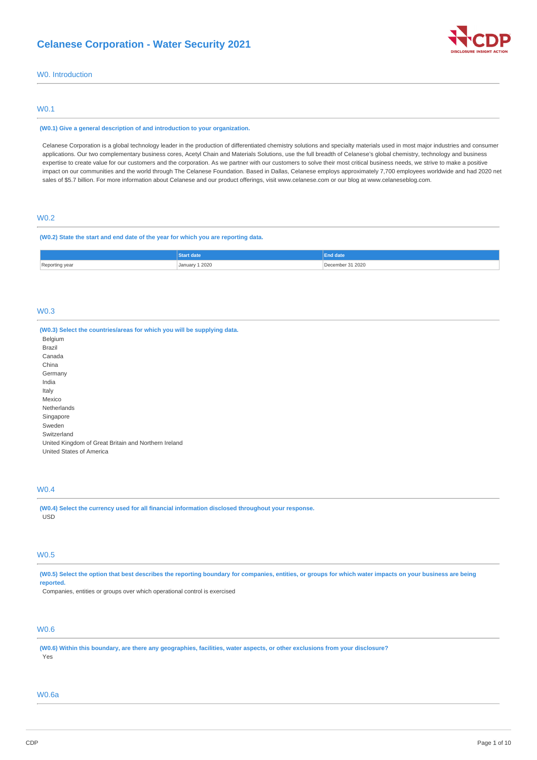

# W0. Introduction

## W0.1

### **(W0.1) Give a general description of and introduction to your organization.**

Celanese Corporation is a global technology leader in the production of differentiated chemistry solutions and specialty materials used in most major industries and consumer applications. Our two complementary business cores, Acetyl Chain and Materials Solutions, use the full breadth of Celanese's global chemistry, technology and business expertise to create value for our customers and the corporation. As we partner with our customers to solve their most critical business needs, we strive to make a positive impact on our communities and the world through The Celanese Foundation. Based in Dallas, Celanese employs approximately 7,700 employees worldwide and had 2020 net sales of \$5.7 billion. For more information about Celanese and our product offerings, visit www.celanese.com or our blog at www.celaneseblog.com.

## W0.2

## **(W0.2) State the start and end date of the year for which you are reporting data.**

|                | <b><i>atart</i></b> date | End date     |
|----------------|--------------------------|--------------|
| Reporting year |                          | mber 31 2020 |
| . כ            | <b>January 1 2020</b>    |              |

## W0.3

| (W0.3) Select the countries/areas for which you will be supplying data. |
|-------------------------------------------------------------------------|
| Belgium                                                                 |
| Brazil                                                                  |
| Canada                                                                  |
| China                                                                   |
| Germany                                                                 |
| India                                                                   |
| Italy                                                                   |
| Mexico                                                                  |
| Netherlands                                                             |
| Singapore                                                               |
| Sweden                                                                  |
| Switzerland                                                             |
| United Kingdom of Great Britain and Northern Ireland                    |
| United States of America                                                |

# W0.4

**(W0.4) Select the currency used for all financial information disclosed throughout your response.** USD

## W0.5

(W0.5) Select the option that best describes the reporting boundary for companies, entities, or groups for which water impacts on your business are being **reported.**

Companies, entities or groups over which operational control is exercised

# W0.6

(W0.6) Within this boundary, are there any geographies, facilities, water aspects, or other exclusions from your disclosure? Yes

## W0.6a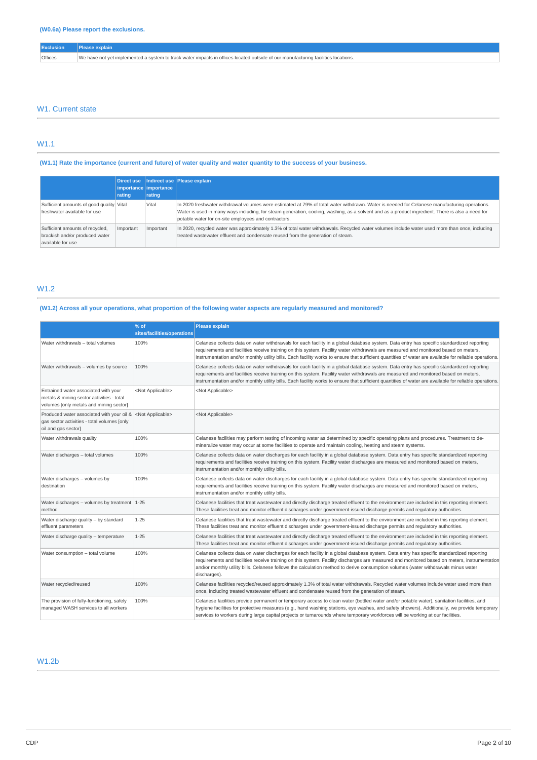| Offices | We have not vet implemented a system to track water impacts in offices located outside of our manufacturing facilities locations. |
|---------|-----------------------------------------------------------------------------------------------------------------------------------|

## W1. Current state

# W1.1

# (W1.1) Rate the importance (current and future) of water quality and water quantity to the success of your business.

|                                                                                        | rating    | importance importance<br>rating | Direct use   Indirect use   Please explain                                                                                                                                                                                                                                                                                                               |
|----------------------------------------------------------------------------------------|-----------|---------------------------------|----------------------------------------------------------------------------------------------------------------------------------------------------------------------------------------------------------------------------------------------------------------------------------------------------------------------------------------------------------|
| Sufficient amounts of good quality Vital<br>freshwater available for use               |           | Vital                           | In 2020 freshwater withdrawal volumes were estimated at 79% of total water withdrawn. Water is needed for Celanese manufacturing operations.<br>Water is used in many ways including, for steam generation, cooling, washing, as a solvent and as a product ingredient. There is also a need for<br>potable water for on-site employees and contractors. |
| Sufficient amounts of recycled,<br>brackish and/or produced water<br>available for use | Important | Important                       | In 2020, recycled water was approximately 1.3% of total water withdrawals. Recycled water volumes include water used more than once, including<br>treated wastewater effluent and condensate reused from the generation of steam.                                                                                                                        |

# W1.2

# (W1.2) Across all your operations, what proportion of the following water aspects are regularly measured and monitored?

|                                                                                                                              | % of<br>sites/facilities/operations | <b>Please explain</b>                                                                                                                                                                                                                                                                                                                                                                                                                          |
|------------------------------------------------------------------------------------------------------------------------------|-------------------------------------|------------------------------------------------------------------------------------------------------------------------------------------------------------------------------------------------------------------------------------------------------------------------------------------------------------------------------------------------------------------------------------------------------------------------------------------------|
| Water withdrawals - total volumes                                                                                            | 100%                                | Celanese collects data on water withdrawals for each facility in a global database system. Data entry has specific standardized reporting<br>requirements and facilities receive training on this system. Facility water withdrawals are measured and monitored based on meters,<br>instrumentation and/or monthly utility bills. Each facility works to ensure that sufficient quantities of water are available for reliable operations.     |
| Water withdrawals - volumes by source                                                                                        | 100%                                | Celanese collects data on water withdrawals for each facility in a global database system. Data entry has specific standardized reporting<br>requirements and facilities receive training on this system. Facility water withdrawals are measured and monitored based on meters,<br>instrumentation and/or monthly utility bills. Each facility works to ensure that sufficient quantities of water are available for reliable operations.     |
| Entrained water associated with your<br>metals & mining sector activities - total<br>volumes [only metals and mining sector] | <not applicable=""></not>           | <not applicable=""></not>                                                                                                                                                                                                                                                                                                                                                                                                                      |
| Produced water associated with your oil &<br>gas sector activities - total volumes [only<br>oil and gas sector]              | <not applicable=""></not>           | <not applicable=""></not>                                                                                                                                                                                                                                                                                                                                                                                                                      |
| Water withdrawals quality                                                                                                    | 100%                                | Celanese facilities may perform testing of incoming water as determined by specific operating plans and procedures. Treatment to de-<br>mineralize water may occur at some facilities to operate and maintain cooling, heating and steam systems.                                                                                                                                                                                              |
| Water discharges - total volumes                                                                                             | 100%                                | Celanese collects data on water discharges for each facility in a global database system. Data entry has specific standardized reporting<br>requirements and facilities receive training on this system. Facility water discharges are measured and monitored based on meters,<br>instrumentation and/or monthly utility bills.                                                                                                                |
| Water discharges - volumes by<br>destination                                                                                 | 100%                                | Celanese collects data on water discharges for each facility in a global database system. Data entry has specific standardized reporting<br>requirements and facilities receive training on this system. Facility water discharges are measured and monitored based on meters,<br>instrumentation and/or monthly utility bills.                                                                                                                |
| Water discharges - volumes by treatment $ 1-25 $<br>method                                                                   |                                     | Celanese facilities that treat wastewater and directly discharge treated effluent to the environment are included in this reporting element.<br>These facilities treat and monitor effluent discharges under government-issued discharge permits and regulatory authorities.                                                                                                                                                                   |
| Water discharge quality - by standard<br>effluent parameters                                                                 | $1 - 25$                            | Celanese facilities that treat wastewater and directly discharge treated effluent to the environment are included in this reporting element.<br>These facilities treat and monitor effluent discharges under government-issued discharge permits and regulatory authorities.                                                                                                                                                                   |
| Water discharge quality - temperature                                                                                        | $1 - 25$                            | Celanese facilities that treat wastewater and directly discharge treated effluent to the environment are included in this reporting element.<br>These facilities treat and monitor effluent discharges under government-issued discharge permits and regulatory authorities.                                                                                                                                                                   |
| Water consumption - total volume                                                                                             | 100%                                | Celanese collects data on water discharges for each facility in a global database system. Data entry has specific standardized reporting<br>requirements and facilities receive training on this system. Facility discharges are measured and monitored based on meters, instrumentation<br>and/or monthly utility bills. Celanese follows the calculation method to derive consumption volumes (water withdrawals minus water<br>discharges). |
| Water recycled/reused                                                                                                        | 100%                                | Celanese facilities recycled/reused approximately 1.3% of total water withdrawals. Recycled water volumes include water used more than<br>once, including treated wastewater effluent and condensate reused from the generation of steam.                                                                                                                                                                                                      |
| The provision of fully-functioning, safely<br>managed WASH services to all workers                                           | 100%                                | Celanese facilities provide permanent or temporary access to clean water (bottled water and/or potable water), sanitation facilities, and<br>hygiene facilities for protective measures (e.g., hand washing stations, eye washes, and safety showers). Additionally, we provide temporary<br>services to workers during large capital projects or turnarounds where temporary workforces will be working at our facilities.                    |

# W1.2b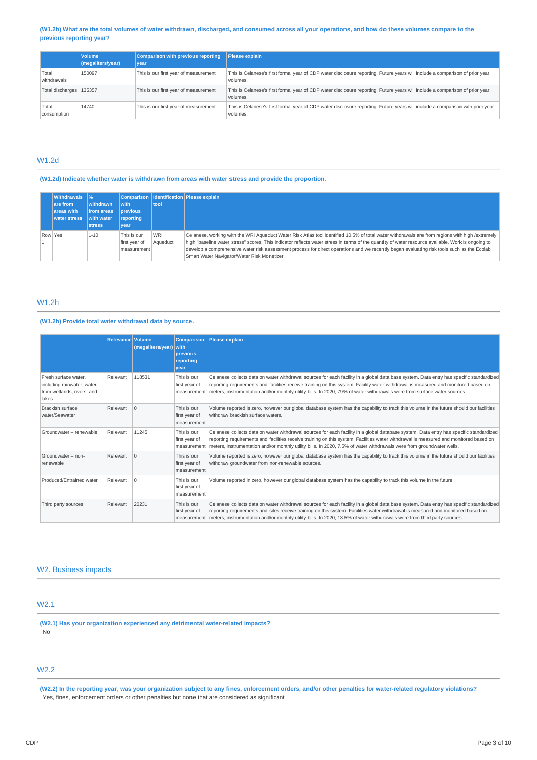## (W1.2b) What are the total volumes of water withdrawn, discharged, and consumed across all your operations, and how do these volumes compare to the **previous reporting year?**

|                           | <b>Volume</b><br>(megaliters/year) | <b>Comparison with previous reporting</b><br>vear | Please explain                                                                                                                             |
|---------------------------|------------------------------------|---------------------------------------------------|--------------------------------------------------------------------------------------------------------------------------------------------|
| Total<br>withdrawals      | 150097                             | This is our first year of measurement             | This is Celanese's first formal year of CDP water disclosure reporting. Future years will include a comparison of prior year<br>volumes.   |
| Total discharges   135357 |                                    | This is our first year of measurement             | This is Celanese's first formal year of CDP water disclosure reporting. Future years will include a comparison of prior year<br>volumes.   |
| Total<br>consumption      | 14740                              | This is our first year of measurement             | This is Celanese's first formal year of CDP water disclosure reporting. Future years will include a comparison with prior year<br>volumes. |

# W1.2d

## **(W1.2d) Indicate whether water is withdrawn from areas with water stress and provide the proportion.**

|         | <b>Withdrawals</b>  %<br>are from<br>areas with<br><b>water stress</b> | withdrawn<br>from areas<br>with water<br><b>stress</b> | <b>with</b><br><b>previous</b><br>reporting<br>vear | tool                   | Comparison   Identification   Please explain                                                                                                                                                                                                                                                                                                                                                                                                                                                       |
|---------|------------------------------------------------------------------------|--------------------------------------------------------|-----------------------------------------------------|------------------------|----------------------------------------------------------------------------------------------------------------------------------------------------------------------------------------------------------------------------------------------------------------------------------------------------------------------------------------------------------------------------------------------------------------------------------------------------------------------------------------------------|
| Row Yes |                                                                        | $1 - 10$                                               | This is our<br>first year of<br>measurement         | <b>WRI</b><br>Aqueduct | Celanese, working with the WRI Aqueduct Water Risk Atlas tool identified 10.5% of total water withdrawals are from regions with high /extremely<br>high "baseline water stress" scores. This indicator reflects water stress in terms of the quantity of water resource available. Work is ongoing to<br>develop a comprehensive water risk assessment process for direct operations and we recently began evaluating risk tools such as the Ecolab<br>Smart Water Navigator/Water Risk Monetizer. |

# W1.2h

# **(W1.2h) Provide total water withdrawal data by source.**

|                                                                                           | <b>Relevance Volume</b> | (megaliters/year) with | <b>Comparison</b><br>previous<br>reporting<br>vear | Please explain                                                                                                                                                                                                                                                                                                                                                                                             |
|-------------------------------------------------------------------------------------------|-------------------------|------------------------|----------------------------------------------------|------------------------------------------------------------------------------------------------------------------------------------------------------------------------------------------------------------------------------------------------------------------------------------------------------------------------------------------------------------------------------------------------------------|
| Fresh surface water.<br>including rainwater, water<br>from wetlands, rivers, and<br>lakes | Relevant                | 118531                 | This is our<br>first year of<br>measurement        | Celanese collects data on water withdrawal sources for each facility in a global data base system. Data entry has specific standardized<br>reporting requirements and facilities receive training on this system. Facility water withdrawal is measured and monitored based on<br>meters, instrumentation and/or monthly utility bills. In 2020, 79% of water withdrawals were from surface water sources. |
| Brackish surface<br>water/Seawater                                                        | Relevant                | $\Omega$               | This is our<br>first year of<br>measurement        | Volume reported is zero, however our global database system has the capability to track this volume in the future should our facilities<br>withdraw brackish surface waters.                                                                                                                                                                                                                               |
| Groundwater - renewable                                                                   | Relevant                | 11245                  | This is our<br>first year of<br>measurement        | Celanese collects data on water withdrawal sources for each facility in a global database system. Data entry has specific standardized<br>reporting requirements and facilities receive training on this system. Facilities water withdrawal is measured and monitored based on<br>meters, instrumentation and/or monthly utility bills. In 2020, 7.5% of water withdrawals were from groundwater wells.   |
| Groundwater - non-<br>renewable                                                           | Relevant                | $\Omega$               | This is our<br>first year of<br>measurement        | Volume reported is zero, however our global database system has the capability to track this volume in the future should our facilities<br>withdraw groundwater from non-renewable sources.                                                                                                                                                                                                                |
| Produced/Entrained water                                                                  | Relevant                | l O                    | This is our<br>first year of<br>measurement        | Volume reported in zero, however our global database system has the capability to track this volume in the future.                                                                                                                                                                                                                                                                                         |
| Third party sources                                                                       | Relevant                | 20231                  | This is our<br>first year of<br>measurement        | Celanese collects data on water withdrawal sources for each facility in a global data base system. Data entry has specific standardized<br>reporting requirements and sites receive training on this system. Facilities water withdrawal is measured and monitored based on<br>meters, instrumentation and/or monthly utility bills. In 2020, 13.5% of water withdrawals were from third party sources.    |

## W2. Business impacts

# W2.1

**(W2.1) Has your organization experienced any detrimental water-related impacts?** No

# W2.2

(W2.2) In the reporting year, was your organization subject to any fines, enforcement orders, and/or other penalties for water-related regulatory violations? Yes, fines, enforcement orders or other penalties but none that are considered as significant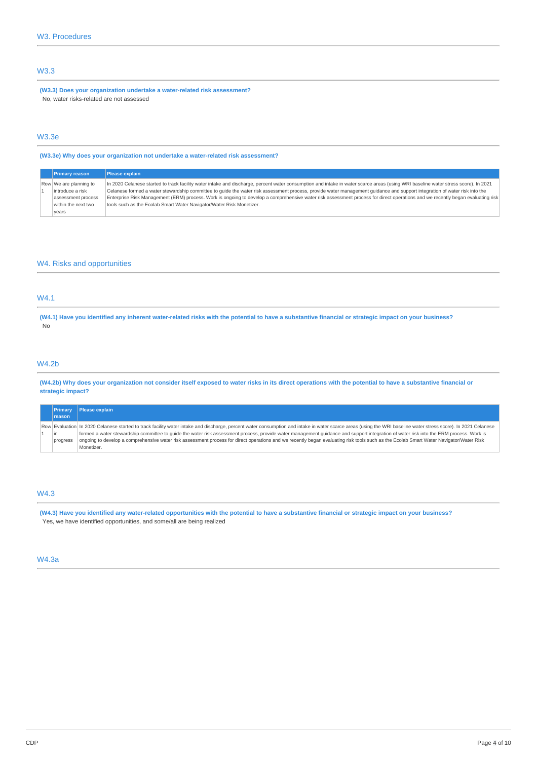# W3.3

**(W3.3) Does your organization undertake a water-related risk assessment?** No, water risks-related are not assessed

# W3.3e

**(W3.3e) Why does your organization not undertake a water-related risk assessment?**

| <b>Primary reason</b>  | <b>Please explain</b>                                                                                                                                                              |
|------------------------|------------------------------------------------------------------------------------------------------------------------------------------------------------------------------------|
| Row We are planning to | In 2020 Celanese started to track facility water intake and discharge, percent water consumption and intake in water scarce areas (using WRI baseline water stress score). In 2021 |
| introduce a risk       | Celanese formed a water stewardship committee to quide the water risk assessment process, provide water management quidance and support integration of water risk into the         |
| assessment process     | Enterprise Risk Management (ERM) process. Work is ongoing to develop a comprehensive water risk assessment process for direct operations and we recently began evaluating risk     |
| within the next two    | tools such as the Ecolab Smart Water Navigator/Water Risk Monetizer.                                                                                                               |
| vears                  |                                                                                                                                                                                    |

# W4. Risks and opportunities

## W4.1

(W4.1) Have you identified any inherent water-related risks with the potential to have a substantive financial or strategic impact on your business? No

## W4.2b

(W4.2b) Why does your organization not consider itself exposed to water risks in its direct operations with the potential to have a substantive financial or **strategic impact?**

|          | <b>Primary Please explain</b>                                                                                                                                                                                  |
|----------|----------------------------------------------------------------------------------------------------------------------------------------------------------------------------------------------------------------|
| reason   |                                                                                                                                                                                                                |
|          | Row Evaluation In 2020 Celanese started to track facility water intake and discharge, percent water consumption and intake in water scarce areas (using the WRI baseline water stress score). In 2021 Celanese |
| lin      | formed a water stewardship committee to quide the water risk assessment process, provide water management quidance and support integration of water risk into the ERM process. Work is                         |
| progress | ongoing to develop a comprehensive water risk assessment process for direct operations and we recently began evaluating risk tools such as the Ecolab Smart Water Navigator/Water Risk                         |
|          | Monetizer.                                                                                                                                                                                                     |

## W4.3

(W4.3) Have you identified any water-related opportunities with the potential to have a substantive financial or strategic impact on your business? Yes, we have identified opportunities, and some/all are being realized

## W4.3a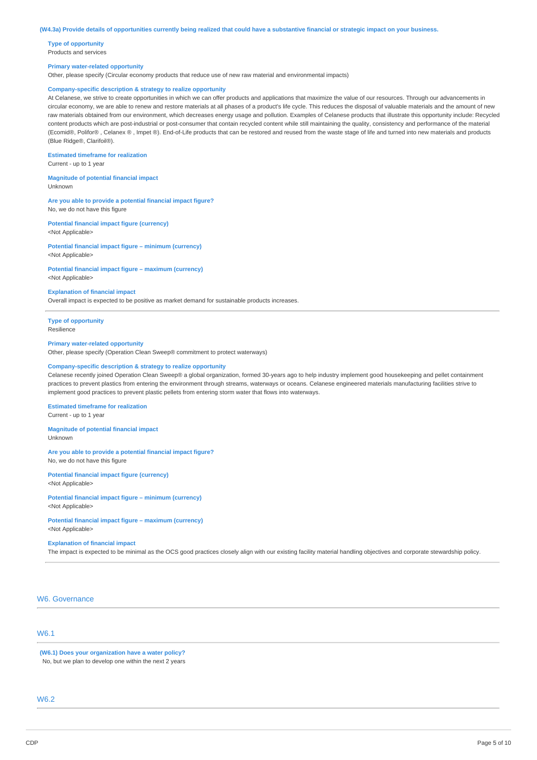#### (W4.3a) Provide details of opportunities currently being realized that could have a substantive financial or strategic impact on your business.

**Type of opportunity** Products and services

#### **Primary water-related opportunity**

Other, please specify (Circular economy products that reduce use of new raw material and environmental impacts)

## **Company-specific description & strategy to realize opportunity**

At Celanese, we strive to create opportunities in which we can offer products and applications that maximize the value of our resources. Through our advancements in circular economy, we are able to renew and restore materials at all phases of a product's life cycle. This reduces the disposal of valuable materials and the amount of new raw materials obtained from our environment, which decreases energy usage and pollution. Examples of Celanese products that illustrate this opportunity include: Recycled content products which are post-industrial or post-consumer that contain recycled content while still maintaining the quality, consistency and performance of the material (Ecomid®, Polifor® , Celanex ® , Impet ®). End-of-Life products that can be restored and reused from the waste stage of life and turned into new materials and products (Blue Ridge®, Clarifoil®).

#### **Estimated timeframe for realization**

Current - up to 1 year

**Magnitude of potential financial impact** Unknown

# **Are you able to provide a potential financial impact figure?**

No, we do not have this figure

**Potential financial impact figure (currency)** <Not Applicable>

**Potential financial impact figure – minimum (currency)** <Not Applicable>

## **Potential financial impact figure – maximum (currency)**

<Not Applicable>

### **Explanation of financial impact**

Overall impact is expected to be positive as market demand for sustainable products increases.

**Type of opportunity** Resilience

#### **Primary water-related opportunity**

Other, please specify (Operation Clean Sweep® commitment to protect waterways)

### **Company-specific description & strategy to realize opportunity**

Celanese recently joined Operation Clean Sweep® a global organization, formed 30-years ago to help industry implement good housekeeping and pellet containment practices to prevent plastics from entering the environment through streams, waterways or oceans. Celanese engineered materials manufacturing facilities strive to implement good practices to prevent plastic pellets from entering storm water that flows into waterways.

### **Estimated timeframe for realization**

Current - up to 1 year

**Magnitude of potential financial impact** Unknown

### **Are you able to provide a potential financial impact figure?** No, we do not have this figure

**Potential financial impact figure (currency)** <Not Applicable>

**Potential financial impact figure – minimum (currency)** <Not Applicable>

## **Potential financial impact figure – maximum (currency)** <Not Applicable>

**Explanation of financial impact**

#### The impact is expected to be minimal as the OCS good practices closely align with our existing facility material handling objectives and corporate stewardship policy.

# W6. Governance

## W6.1

**(W6.1) Does your organization have a water policy?** No, but we plan to develop one within the next 2 years

# W6.2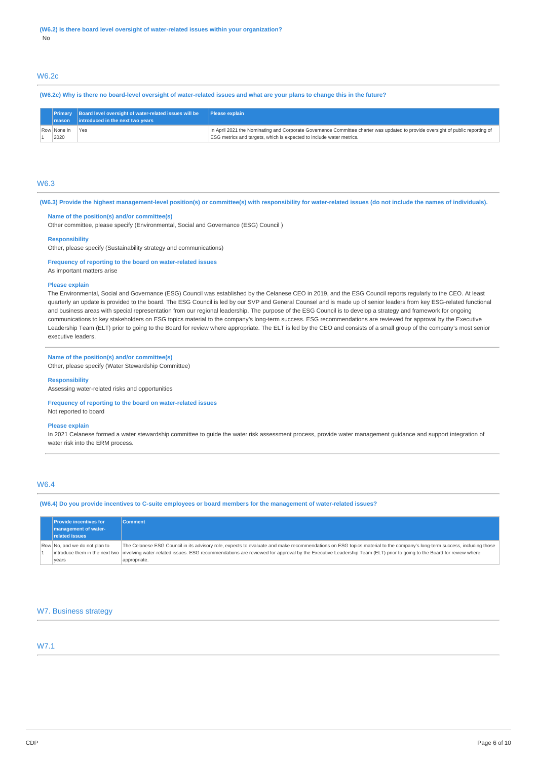## W6.2c

### (W6.2c) Why is there no board-level oversight of water-related issues and what are your plans to change this in the future?

|                     | Primary Board level oversight of water-related issues will be Please explain<br>reason   introduced in the next two years |                                                                                                                                                                                                         |
|---------------------|---------------------------------------------------------------------------------------------------------------------------|---------------------------------------------------------------------------------------------------------------------------------------------------------------------------------------------------------|
| Row None in<br>2020 | 'Yes                                                                                                                      | In April 2021 the Nominating and Corporate Governance Committee charter was updated to provide oversight of public reporting of<br>ESG metrics and targets, which is expected to include water metrics. |

## W6.3

(W6.3) Provide the highest management-level position(s) or committee(s) with responsibility for water-related issues (do not include the names of individuals).

## **Name of the position(s) and/or committee(s)**

Other committee, please specify (Environmental, Social and Governance (ESG) Council )

#### **Responsibility**

Other, please specify (Sustainability strategy and communications)

### **Frequency of reporting to the board on water-related issues**

As important matters arise

#### **Please explain**

The Environmental, Social and Governance (ESG) Council was established by the Celanese CEO in 2019, and the ESG Council reports regularly to the CEO. At least quarterly an update is provided to the board. The ESG Council is led by our SVP and General Counsel and is made up of senior leaders from key ESG-related functional and business areas with special representation from our regional leadership. The purpose of the ESG Council is to develop a strategy and framework for ongoing communications to key stakeholders on ESG topics material to the company's long-term success. ESG recommendations are reviewed for approval by the Executive Leadership Team (ELT) prior to going to the Board for review where appropriate. The ELT is led by the CEO and consists of a small group of the company's most senior executive leaders.

## **Name of the position(s) and/or committee(s)**

Other, please specify (Water Stewardship Committee)

### **Responsibility**

Assessing water-related risks and opportunities

### **Frequency of reporting to the board on water-related issues** Not reported to board

#### **Please explain**

In 2021 Celanese formed a water stewardship committee to guide the water risk assessment process, provide water management guidance and support integration of water risk into the ERM process.

## W6.4

(W6.4) Do you provide incentives to C-suite employees or board members for the management of water-related issues?

| <b>Provide incentives for</b><br>management of water-<br><b>related issues</b> | <b>Comment</b>                                                                                                                                                                                                                                                                                                                                                                             |
|--------------------------------------------------------------------------------|--------------------------------------------------------------------------------------------------------------------------------------------------------------------------------------------------------------------------------------------------------------------------------------------------------------------------------------------------------------------------------------------|
| Row No, and we do not plan to<br>years                                         | The Celanese ESG Council in its advisory role, expects to evaluate and make recommendations on ESG topics material to the company's long-term success, including those<br>introduce them in the next two involving water-related issues. ESG recommendations are reviewed for approval by the Executive Leadership Team (ELT) prior to going to the Board for review where<br>appropriate. |

## W7. Business strategy

# W7.1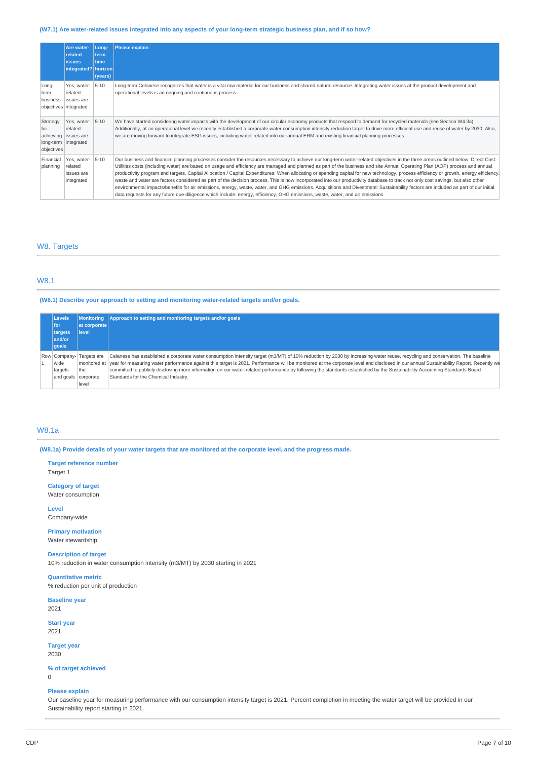## (W7.1) Are water-related issues integrated into any aspects of your long-term strategic business plan, and if so how?

|                                                    | Are water-<br>related<br><b>issues</b><br>integrated?   horizon        | Long-<br>term<br>time<br>(years) | <b>Please explain</b>                                                                                                                                                                                                                                                                                                                                                                                                                                                                                                                                                                                                                                                                                                                                                                                                                                                                                                                                                                                                                                             |
|----------------------------------------------------|------------------------------------------------------------------------|----------------------------------|-------------------------------------------------------------------------------------------------------------------------------------------------------------------------------------------------------------------------------------------------------------------------------------------------------------------------------------------------------------------------------------------------------------------------------------------------------------------------------------------------------------------------------------------------------------------------------------------------------------------------------------------------------------------------------------------------------------------------------------------------------------------------------------------------------------------------------------------------------------------------------------------------------------------------------------------------------------------------------------------------------------------------------------------------------------------|
| Long-<br>term<br>business<br>objectives integrated | Yes, water-<br>related<br><b>issues</b> are                            | $5 - 10$                         | Long-term Celanese recognizes that water is a vital raw material for our business and shared natural resource. Integrating water issues at the product development and<br>operational levels is an ongoing and continuous process.                                                                                                                                                                                                                                                                                                                                                                                                                                                                                                                                                                                                                                                                                                                                                                                                                                |
| Strategy<br>for<br>objectives                      | Yes, water-<br>related<br>achieving issues are<br>long-term integrated | $5 - 10$                         | We have started considering water impacts with the development of our circular economy products that respond to demand for recycled materials (see Section W4.3a).<br>Additionally, at an operational level we recently established a corporate water consumption intensity reduction target to drive more efficient use and reuse of water by 2030. Also,<br>we are moving forward to integrate ESG issues, including water-related into our annual ERM and existing financial planning processes.                                                                                                                                                                                                                                                                                                                                                                                                                                                                                                                                                               |
| Financial<br>planning                              | Yes, water-<br>related<br>issues are<br>integrated                     | $5 - 10$                         | Our business and financial planning processes consider the resources necessary to achieve our long-term water-related objectives in the three areas outlined below. Direct Cost:<br>Utilities costs (including water) are based on usage and efficiency are managed and planned as part of the business and site Annual Operating Plan (AOP) process and annual<br>productivity program and targets. Capital Allocation / Capital Expenditures: When allocating or spending capital for new technology, process efficiency or growth, energy efficiency,<br>waste and water are factors considered as part of the decision process. This is now incorporated into our productivity database to track not only cost savings, but also other<br>environmental impacts/benefits for air emissions, energy, waste, water, and GHG emissions. Acquisitions and Divestment: Sustainability factors are included as part of our initial<br>data requests for any future due diligence which include: energy, efficiency, GHG emissions, waste, water, and air emissions. |

# W8. Targets

# W8.1

**(W8.1) Describe your approach to setting and monitoring water-related targets and/or goals.**

| <b>Levels</b>       |              | Monitoring Approach to setting and monitoring targets and/or goals                                                                                                                                 |  |
|---------------------|--------------|----------------------------------------------------------------------------------------------------------------------------------------------------------------------------------------------------|--|
| for                 | at corporate |                                                                                                                                                                                                    |  |
| targets             | level        |                                                                                                                                                                                                    |  |
| and/or              |              |                                                                                                                                                                                                    |  |
| $ q$ oals           |              |                                                                                                                                                                                                    |  |
| Row Company-        | Targets are  | Celanese has established a corporate water consumption intensity target (m3/MT) of 10% reduction by 2030 by increasing water reuse, recycling and conservation. The baseline                       |  |
| wide                |              | monitored at vear for measuring water performance against this target is 2021. Performance will be monitored at the corporate level and disclosed in our annual Sustainability Report. Recently we |  |
| targets             | the          | committed to publicly disclosing more information on our water-related performance by following the standards established by the Sustainability Accounting Standards Board                         |  |
| and goals corporate |              | Standards for the Chemical Industry.                                                                                                                                                               |  |
|                     | level        |                                                                                                                                                                                                    |  |

# W8.1a

(W8.1a) Provide details of your water targets that are monitored at the corporate level, and the progress made.

**Target reference number** Target 1

**Category of target** Water consumption

**Level** Company-wide

**Primary motivation** Water stewardship

**Description of target** 10% reduction in water consumption intensity (m3/MT) by 2030 starting in 2021

**Quantitative metric** % reduction per unit of production

**Baseline year** 2021

**Start year** 2021

**Target year** 2030

# **% of target achieved**

0

## **Please explain**

Our baseline year for measuring performance with our consumption intensity target is 2021. Percent completion in meeting the water target will be provided in our Sustainability report starting in 2021.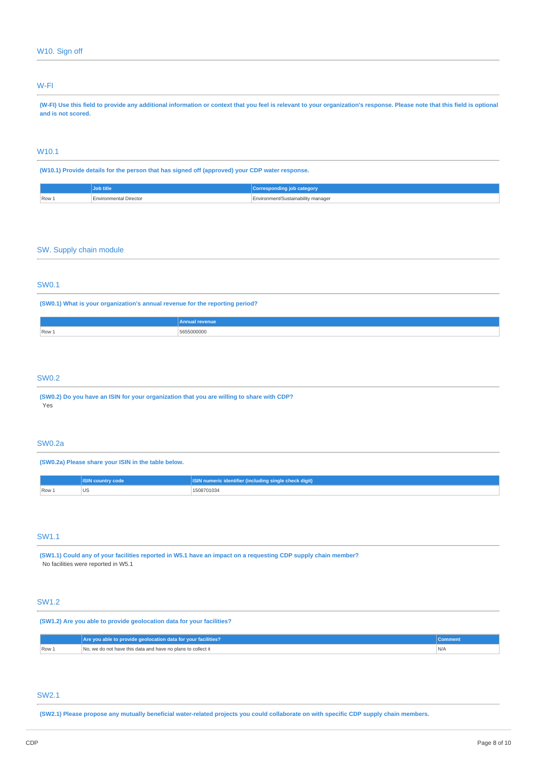# W-FI

(W-FI) Use this field to provide any additional information or context that you feel is relevant to your organization's response. Please note that this field is optional **and is not scored.**

# W10.1

**(W10.1) Provide details for the person that has signed off (approved) your CDP water response.**

|       | JUD UUt                       | <b>Corresponding</b><br>∣ job categor∖ |
|-------|-------------------------------|----------------------------------------|
| Row . | <b>Environmental Director</b> | Environment/Sustainability manager     |

# SW. Supply chain module

# SW0.1

**(SW0.1) What is your organization's annual revenue for the reporting period?**

|       | revenue<br>hnual r |
|-------|--------------------|
| Row 1 | 5655000000<br>.    |
|       |                    |

## SW0.2

**(SW0.2) Do you have an ISIN for your organization that you are willing to share with CDP?** Yes

## SW0.2a

**(SW0.2a) Please share your ISIN in the table below.**

|       | code<br><b>ISIN COUTILI</b> | : identifier (including single check digit)<br>numeric |
|-------|-----------------------------|--------------------------------------------------------|
| Row 1 | UJ                          | 1508701034                                             |

# SW1.1

(SW1.1) Could any of your facilities reported in W5.1 have an impact on a requesting CDP supply chain member? No facilities were reported in W5.1

# SW1.2

**(SW1.2) Are you able to provide geolocation data for your facilities?**

|                      | Are you able to provide geolocation data for your facilities? | ∠omment                                 |
|----------------------|---------------------------------------------------------------|-----------------------------------------|
| $\sqrt{R}$ Row $\pm$ | No, we do not have this data and have no plans to collect it  | 'N/A<br>the contract of the contract of |

# SW2.1

(SW2.1) Please propose any mutually beneficial water-related projects you could collaborate on with specific CDP supply chain members.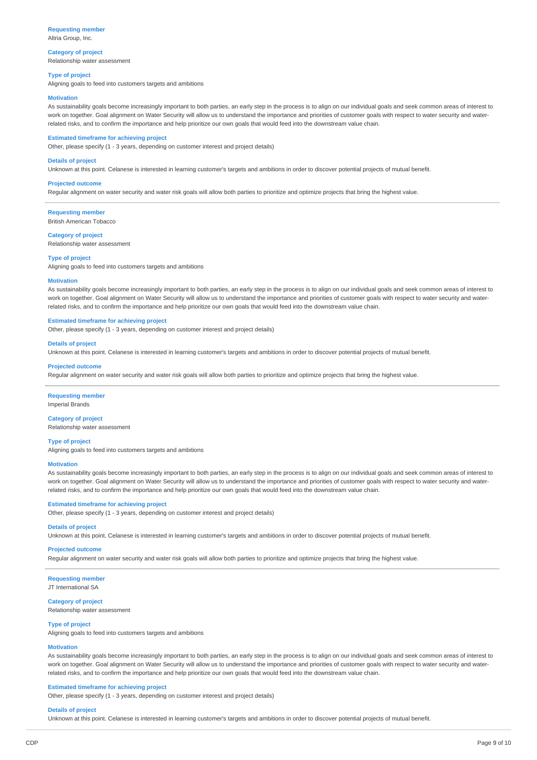# **Requesting member**

Altria Group, Inc.

### **Category of project** Relationship water assessment

**Type of project**

Aligning goals to feed into customers targets and ambitions

#### **Motivation**

As sustainability goals become increasingly important to both parties, an early step in the process is to align on our individual goals and seek common areas of interest to work on together. Goal alignment on Water Security will allow us to understand the importance and priorities of customer goals with respect to water security and waterrelated risks, and to confirm the importance and help prioritize our own goals that would feed into the downstream value chain.

### **Estimated timeframe for achieving project**

Other, please specify (1 - 3 years, depending on customer interest and project details)

### **Details of project**

Unknown at this point. Celanese is interested in learning customer's targets and ambitions in order to discover potential projects of mutual benefit.

### **Projected outcome**

Regular alignment on water security and water risk goals will allow both parties to prioritize and optimize projects that bring the highest value.

**Requesting member**

British American Tobacco

#### **Category of project**

Relationship water assessment

#### **Type of project**

Aligning goals to feed into customers targets and ambitions

#### **Motivation**

As sustainability goals become increasingly important to both parties, an early step in the process is to align on our individual goals and seek common areas of interest to work on together. Goal alignment on Water Security will allow us to understand the importance and priorities of customer goals with respect to water security and waterrelated risks, and to confirm the importance and help prioritize our own goals that would feed into the downstream value chain.

### **Estimated timeframe for achieving project**

Other, please specify (1 - 3 years, depending on customer interest and project details)

#### **Details of project**

Unknown at this point. Celanese is interested in learning customer's targets and ambitions in order to discover potential projects of mutual benefit.

#### **Projected outcome**

Regular alignment on water security and water risk goals will allow both parties to prioritize and optimize projects that bring the highest value.

### **Requesting member**

Imperial Brands

## **Category of project**

Relationship water assessment

## **Type of project**

Aligning goals to feed into customers targets and ambitions

#### **Motivation**

As sustainability goals become increasingly important to both parties, an early step in the process is to align on our individual goals and seek common areas of interest to work on together. Goal alignment on Water Security will allow us to understand the importance and priorities of customer goals with respect to water security and waterrelated risks, and to confirm the importance and help prioritize our own goals that would feed into the downstream value chain.

#### **Estimated timeframe for achieving project**

Other, please specify (1 - 3 years, depending on customer interest and project details)

## **Details of project**

Unknown at this point. Celanese is interested in learning customer's targets and ambitions in order to discover potential projects of mutual benefit.

#### **Projected outcome**

Regular alignment on water security and water risk goals will allow both parties to prioritize and optimize projects that bring the highest value.

# **Requesting member**

JT International SA

#### **Category of project** Relationship water assessment

## **Type of project**

Aligning goals to feed into customers targets and ambitions

### **Motivation**

As sustainability goals become increasingly important to both parties, an early step in the process is to align on our individual goals and seek common areas of interest to work on together. Goal alignment on Water Security will allow us to understand the importance and priorities of customer goals with respect to water security and waterrelated risks, and to confirm the importance and help prioritize our own goals that would feed into the downstream value chain.

#### **Estimated timeframe for achieving project**

Other, please specify (1 - 3 years, depending on customer interest and project details)

#### **Details of project**

Unknown at this point. Celanese is interested in learning customer's targets and ambitions in order to discover potential projects of mutual benefit.